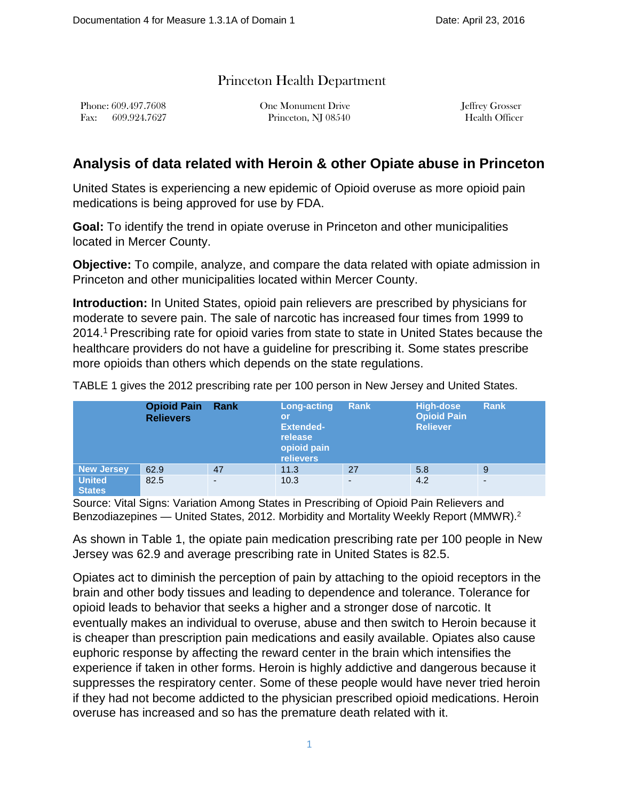## Princeton Health Department

Phone: 609.497.7608 One Monument Drive Jeffrey Grosser Fax: 609.924.7627 Princeton, NJ 08540 Health Officer

## **Analysis of data related with Heroin & other Opiate abuse in Princeton**

United States is experiencing a new epidemic of Opioid overuse as more opioid pain medications is being approved for use by FDA.

**Goal:** To identify the trend in opiate overuse in Princeton and other municipalities located in Mercer County.

**Objective:** To compile, analyze, and compare the data related with opiate admission in Princeton and other municipalities located within Mercer County.

**Introduction:** In United States, opioid pain relievers are prescribed by physicians for moderate to severe pain. The sale of narcotic has increased four times from 1999 to 2014.1 Prescribing rate for opioid varies from state to state in United States because the healthcare providers do not have a guideline for prescribing it. Some states prescribe more opioids than others which depends on the state regulations.

TABLE 1 gives the 2012 prescribing rate per 100 person in New Jersey and United States.

|                                | <b>Opioid Pain</b><br>Rank<br><b>Relievers</b> |                          | Long-acting<br>or<br><b>Extended-</b><br>release<br>opioid pain<br><b>relievers</b> | Rank | <b>High-dose</b><br><b>Opioid Pain</b><br><b>Reliever</b> | <b>Rank</b> |
|--------------------------------|------------------------------------------------|--------------------------|-------------------------------------------------------------------------------------|------|-----------------------------------------------------------|-------------|
| <b>New Jersey</b>              | 62.9                                           | 47                       | 11.3                                                                                | 27   | 5.8                                                       | 9           |
| <b>United</b><br><b>States</b> | 82.5                                           | $\overline{\phantom{a}}$ | 10.3                                                                                | ٠    | 4.2                                                       | -           |

Source: Vital Signs: Variation Among States in Prescribing of Opioid Pain Relievers and Benzodiazepines — United States, 2012. Morbidity and Mortality Weekly Report (MMWR).<sup>2</sup>

As shown in Table 1, the opiate pain medication prescribing rate per 100 people in New Jersey was 62.9 and average prescribing rate in United States is 82.5.

Opiates act to diminish the perception of pain by attaching to the opioid receptors in the brain and other body tissues and leading to dependence and tolerance. Tolerance for opioid leads to behavior that seeks a higher and a stronger dose of narcotic. It eventually makes an individual to overuse, abuse and then switch to Heroin because it is cheaper than prescription pain medications and easily available. Opiates also cause euphoric response by affecting the reward center in the brain which intensifies the experience if taken in other forms. Heroin is highly addictive and dangerous because it suppresses the respiratory center. Some of these people would have never tried heroin if they had not become addicted to the physician prescribed opioid medications. Heroin overuse has increased and so has the premature death related with it.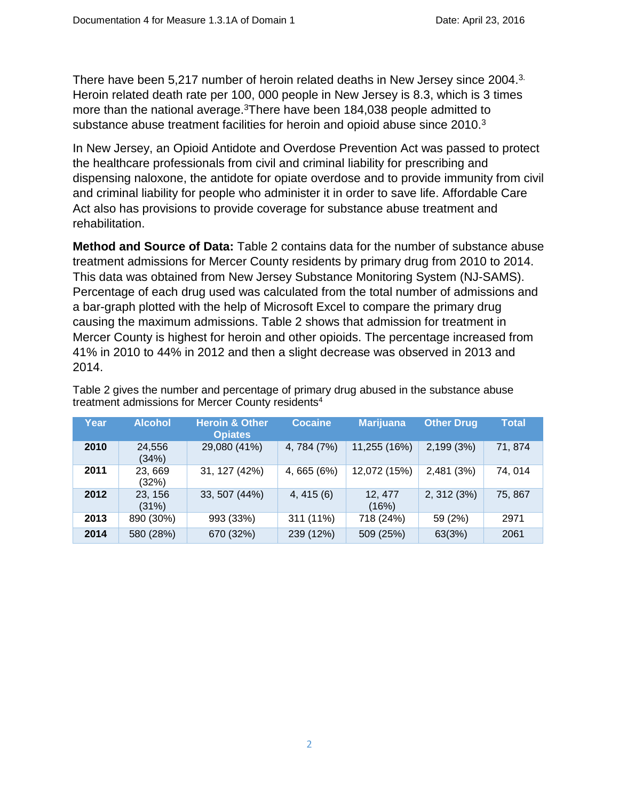There have been 5,217 number of heroin related deaths in New Jersey since 2004.<sup>3.</sup> Heroin related death rate per 100, 000 people in New Jersey is 8.3, which is 3 times more than the national average.<sup>3</sup>There have been 184,038 people admitted to substance abuse treatment facilities for heroin and opioid abuse since 2010.<sup>3</sup>

In New Jersey, an Opioid Antidote and Overdose Prevention Act was passed to protect the healthcare professionals from civil and criminal liability for prescribing and dispensing naloxone, the antidote for opiate overdose and to provide immunity from civil and criminal liability for people who administer it in order to save life. Affordable Care Act also has provisions to provide coverage for substance abuse treatment and rehabilitation.

**Method and Source of Data:** Table 2 contains data for the number of substance abuse treatment admissions for Mercer County residents by primary drug from 2010 to 2014. This data was obtained from New Jersey Substance Monitoring System (NJ-SAMS). Percentage of each drug used was calculated from the total number of admissions and a bar-graph plotted with the help of Microsoft Excel to compare the primary drug causing the maximum admissions. Table 2 shows that admission for treatment in Mercer County is highest for heroin and other opioids. The percentage increased from 41% in 2010 to 44% in 2012 and then a slight decrease was observed in 2013 and 2014.

| Year | <b>Alcohol</b>   | <b>Heroin &amp; Other</b><br><b>Opiates</b> | <b>Cocaine</b> | <b>Marijuana</b> | <b>Other Drug</b> | <b>Total</b> |
|------|------------------|---------------------------------------------|----------------|------------------|-------------------|--------------|
| 2010 | 24,556<br>(34%)  | 29,080 (41%)                                | 4, 784 (7%)    | 11,255 (16%)     | 2,199 (3%)        | 71,874       |
| 2011 | 23,669<br>(32%)  | 31, 127 (42%)                               | 4, 665 (6%)    | 12,072 (15%)     | 2,481 (3%)        | 74,014       |
| 2012 | 23, 156<br>(31%) | 33, 507 (44%)                               | 4,415(6)       | 12, 477<br>(16%) | 2, 312 (3%)       | 75, 867      |
| 2013 | 890 (30%)        | 993 (33%)                                   | 311 (11%)      | 718 (24%)        | 59 (2%)           | 2971         |
| 2014 | 580 (28%)        | 670 (32%)                                   | 239 (12%)      | 509 (25%)        | 63(3%)            | 2061         |

Table 2 gives the number and percentage of primary drug abused in the substance abuse treatment admissions for Mercer County residents<sup>4</sup>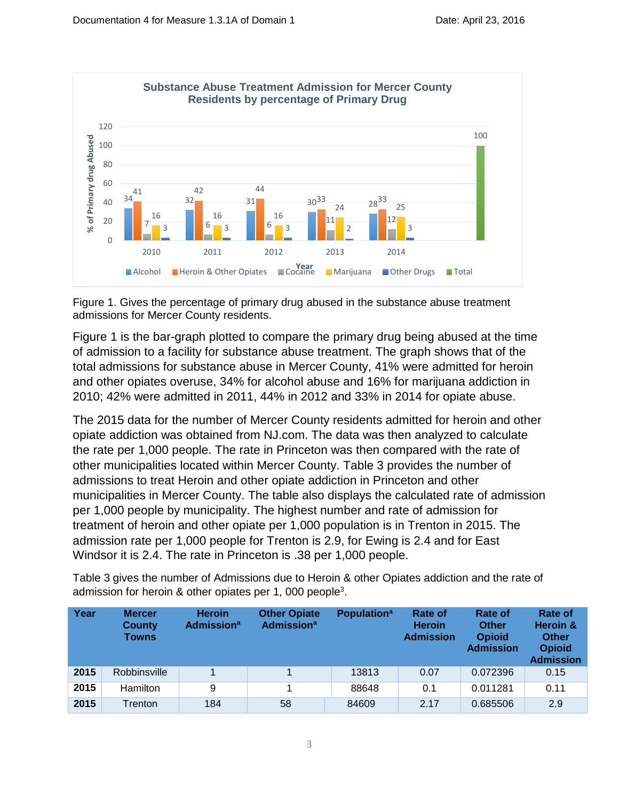

Figure 1. Gives the percentage of primary drug abused in the substance abuse treatment admissions for Mercer County residents.

Figure 1 is the bar-graph plotted to compare the primary drug being abused at the time of admission to a facility for substance abuse treatment. The graph shows that of the total admissions for substance abuse in Mercer County, 41% were admitted for heroin and other opiates overuse, 34% for alcohol abuse and 16% for marijuana addiction in 2010; 42% were admitted in 2011, 44% in 2012 and 33% in 2014 for opiate abuse.

The 2015 data for the number of Mercer County residents admitted for heroin and other opiate addiction was obtained from NJ.com. The data was then analyzed to calculate the rate per 1,000 people. The rate in Princeton was then compared with the rate of other municipalities located within Mercer County. Table 3 provides the number of admissions to treat Heroin and other opiate addiction in Princeton and other municipalities in Mercer County. The table also displays the calculated rate of admission per 1,000 people by municipality. The highest number and rate of admission for treatment of heroin and other opiate per 1,000 population is in Trenton in 2015. The admission rate per 1,000 people for Trenton is 2.9, for Ewing is 2.4 and for East Windsor it is 2.4. The rate in Princeton is .38 per 1,000 people.

Table 3 gives the number of Admissions due to Heroin & other Opiates addiction and the rate of admission for heroin & other opiates per 1, 000 people<sup>3</sup>.

| Year | <b>Mercer</b><br><b>County</b><br><b>Towns</b> | <b>Heroin</b><br><b>Admission</b> <sup>a</sup> | <b>Other Opiate</b><br><b>Admission</b> <sup>a</sup> | <b>Population</b> <sup>a</sup> | <b>Rate of</b><br><b>Heroin</b><br><b>Admission</b> | <b>Rate of</b><br><b>Other</b><br><b>Opioid</b><br><b>Admission</b> | Rate of<br>Heroin &<br><b>Other</b><br><b>Opioid</b><br><b>Admission</b> |
|------|------------------------------------------------|------------------------------------------------|------------------------------------------------------|--------------------------------|-----------------------------------------------------|---------------------------------------------------------------------|--------------------------------------------------------------------------|
| 2015 | Robbinsville                                   |                                                |                                                      | 13813                          | 0.07                                                | 0.072396                                                            | 0.15                                                                     |
| 2015 | Hamilton                                       | 9                                              |                                                      | 88648                          | 0.1                                                 | 0.011281                                                            | 0.11                                                                     |
| 2015 | Trenton                                        | 184                                            | 58                                                   | 84609                          | 2.17                                                | 0.685506                                                            | 2.9                                                                      |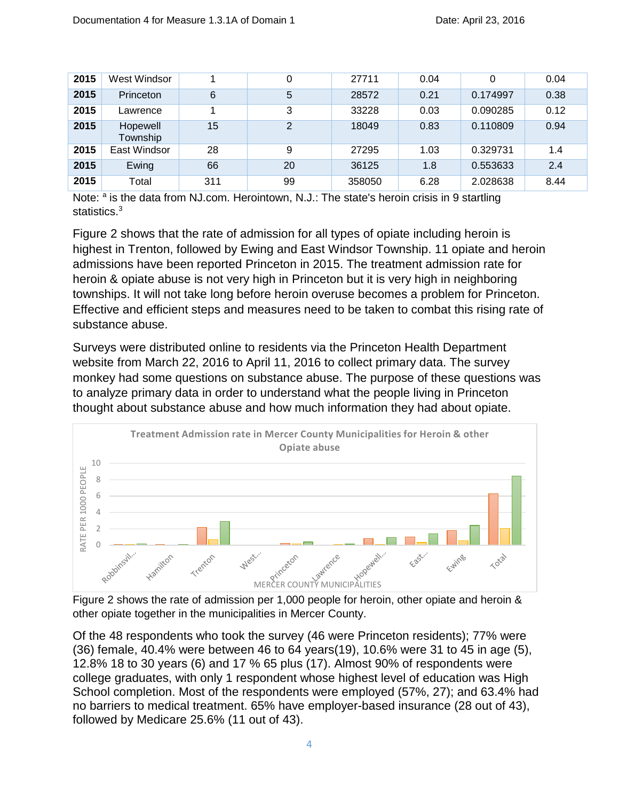| 2015 | West Windsor         |     | 0  | 27711  | 0.04 |          | 0.04 |
|------|----------------------|-----|----|--------|------|----------|------|
| 2015 | <b>Princeton</b>     | 6   | 5  | 28572  | 0.21 | 0.174997 | 0.38 |
| 2015 | Lawrence             |     | 3  | 33228  | 0.03 | 0.090285 | 0.12 |
| 2015 | Hopewell<br>Township | 15  | 2  | 18049  | 0.83 | 0.110809 | 0.94 |
| 2015 | East Windsor         | 28  | 9  | 27295  | 1.03 | 0.329731 | 1.4  |
| 2015 | Ewing                | 66  | 20 | 36125  | 1.8  | 0.553633 | 2.4  |
| 2015 | Total                | 311 | 99 | 358050 | 6.28 | 2.028638 | 8.44 |

Note:  $a$  is the data from NJ.com. Herointown, N.J.: The state's heroin crisis in 9 startling statistics.<sup>3</sup>

Figure 2 shows that the rate of admission for all types of opiate including heroin is highest in Trenton, followed by Ewing and East Windsor Township. 11 opiate and heroin admissions have been reported Princeton in 2015. The treatment admission rate for heroin & opiate abuse is not very high in Princeton but it is very high in neighboring townships. It will not take long before heroin overuse becomes a problem for Princeton. Effective and efficient steps and measures need to be taken to combat this rising rate of substance abuse.

Surveys were distributed online to residents via the Princeton Health Department website from March 22, 2016 to April 11, 2016 to collect primary data. The survey monkey had some questions on substance abuse. The purpose of these questions was to analyze primary data in order to understand what the people living in Princeton thought about substance abuse and how much information they had about opiate.



Figure 2 shows the rate of admission per 1,000 people for heroin, other opiate and heroin & other opiate together in the municipalities in Mercer County.

Of the 48 respondents who took the survey (46 were Princeton residents); 77% were (36) female, 40.4% were between 46 to 64 years(19), 10.6% were 31 to 45 in age (5), 12.8% 18 to 30 years (6) and 17 % 65 plus (17). Almost 90% of respondents were college graduates, with only 1 respondent whose highest level of education was High School completion. Most of the respondents were employed (57%, 27); and 63.4% had no barriers to medical treatment. 65% have employer-based insurance (28 out of 43), followed by Medicare 25.6% (11 out of 43).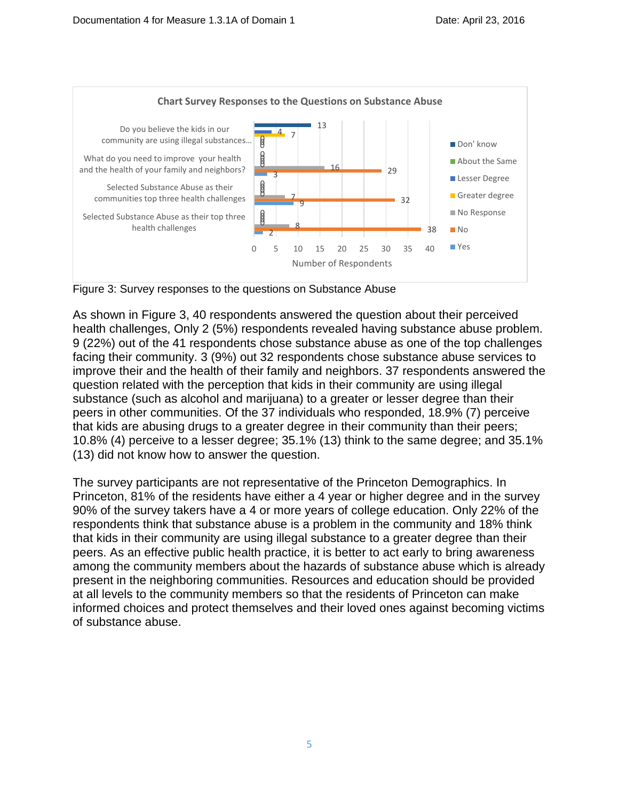

Figure 3: Survey responses to the questions on Substance Abuse

As shown in Figure 3, 40 respondents answered the question about their perceived health challenges, Only 2 (5%) respondents revealed having substance abuse problem. 9 (22%) out of the 41 respondents chose substance abuse as one of the top challenges facing their community. 3 (9%) out 32 respondents chose substance abuse services to improve their and the health of their family and neighbors. 37 respondents answered the question related with the perception that kids in their community are using illegal substance (such as alcohol and marijuana) to a greater or lesser degree than their peers in other communities. Of the 37 individuals who responded, 18.9% (7) perceive that kids are abusing drugs to a greater degree in their community than their peers; 10.8% (4) perceive to a lesser degree; 35.1% (13) think to the same degree; and 35.1% (13) did not know how to answer the question.

The survey participants are not representative of the Princeton Demographics. In Princeton, 81% of the residents have either a 4 year or higher degree and in the survey 90% of the survey takers have a 4 or more years of college education. Only 22% of the respondents think that substance abuse is a problem in the community and 18% think that kids in their community are using illegal substance to a greater degree than their peers. As an effective public health practice, it is better to act early to bring awareness among the community members about the hazards of substance abuse which is already present in the neighboring communities. Resources and education should be provided at all levels to the community members so that the residents of Princeton can make informed choices and protect themselves and their loved ones against becoming victims of substance abuse.